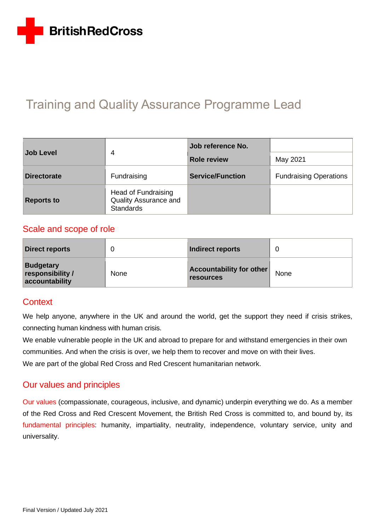

# Training and Quality Assurance Programme Lead

| <b>Job Level</b>   |                                                                  | Job reference No.       |                               |  |
|--------------------|------------------------------------------------------------------|-------------------------|-------------------------------|--|
|                    | 4                                                                | <b>Role review</b>      | May 2021                      |  |
| <b>Directorate</b> | Fundraising                                                      | <b>Service/Function</b> | <b>Fundraising Operations</b> |  |
| <b>Reports to</b>  | Head of Fundraising<br>Quality Assurance and<br><b>Standards</b> |                         |                               |  |

### Scale and scope of role

| <b>Direct reports</b>                                  |      | Indirect reports                             |      |
|--------------------------------------------------------|------|----------------------------------------------|------|
| <b>Budgetary</b><br>responsibility /<br>accountability | None | Accountability for other<br><b>resources</b> | None |

### **Context**

We help anyone, anywhere in the UK and around the world, get the support they need if crisis strikes, connecting human kindness with human crisis.

We enable vulnerable people in the UK and abroad to prepare for and withstand emergencies in their own communities. And when the crisis is over, we help them to recover and move on with their lives.

We are part of the global Red Cross and Red Crescent humanitarian network.

### Our values and principles

[Our values](http://www.redcross.org.uk/About-us/Who-we-are/Our-values) (compassionate, courageous, inclusive, and dynamic) underpin everything we do. As a member of the Red Cross and Red Crescent Movement, the British Red Cross is committed to, and bound by, its [fundamental principles:](http://www.redcross.org.uk/principles) humanity, impartiality, neutrality, independence, voluntary service, unity and universality.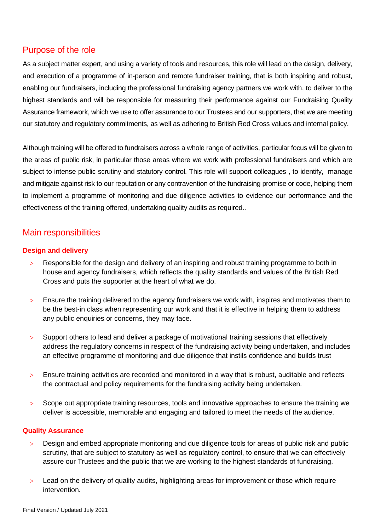### Purpose of the role

As a subject matter expert, and using a variety of tools and resources, this role will lead on the design, delivery, and execution of a programme of in-person and remote fundraiser training, that is both inspiring and robust, enabling our fundraisers, including the professional fundraising agency partners we work with, to deliver to the highest standards and will be responsible for measuring their performance against our Fundraising Quality Assurance framework, which we use to offer assurance to our Trustees and our supporters, that we are meeting our statutory and regulatory commitments, as well as adhering to British Red Cross values and internal policy.

Although training will be offered to fundraisers across a whole range of activities, particular focus will be given to the areas of public risk, in particular those areas where we work with professional fundraisers and which are subject to intense public scrutiny and statutory control. This role will support colleagues , to identify, manage and mitigate against risk to our reputation or any contravention of the fundraising promise or code, helping them to implement a programme of monitoring and due diligence activities to evidence our performance and the effectiveness of the training offered, undertaking quality audits as required..

## Main responsibilities

### **Design and delivery**

- Responsible for the design and delivery of an inspiring and robust training programme to both in house and agency fundraisers, which reflects the quality standards and values of the British Red Cross and puts the supporter at the heart of what we do.
- Ensure the training delivered to the agency fundraisers we work with, inspires and motivates them to be the best-in class when representing our work and that it is effective in helping them to address any public enquiries or concerns, they may face.
- Support others to lead and deliver a package of motivational training sessions that effectively address the regulatory concerns in respect of the fundraising activity being undertaken, and includes an effective programme of monitoring and due diligence that instils confidence and builds trust
- Ensure training activities are recorded and monitored in a way that is robust, auditable and reflects the contractual and policy requirements for the fundraising activity being undertaken.
- Scope out appropriate training resources, tools and innovative approaches to ensure the training we deliver is accessible, memorable and engaging and tailored to meet the needs of the audience.

#### **Quality Assurance**

- Design and embed appropriate monitoring and due diligence tools for areas of public risk and public scrutiny, that are subject to statutory as well as regulatory control, to ensure that we can effectively assure our Trustees and the public that we are working to the highest standards of fundraising.
- Lead on the delivery of quality audits, highlighting areas for improvement or those which require intervention.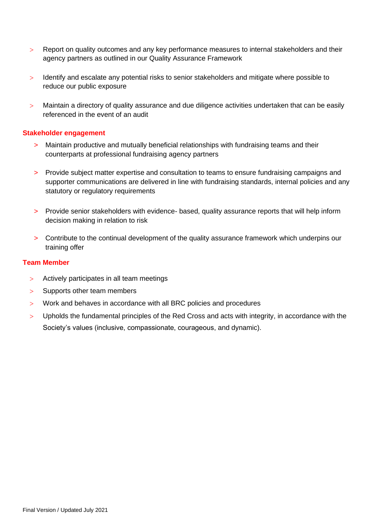- Report on quality outcomes and any key performance measures to internal stakeholders and their agency partners as outlined in our Quality Assurance Framework
- Identify and escalate any potential risks to senior stakeholders and mitigate where possible to reduce our public exposure
- > Maintain a directory of quality assurance and due diligence activities undertaken that can be easily referenced in the event of an audit

#### **Stakeholder engagement**

- > Maintain productive and mutually beneficial relationships with fundraising teams and their counterparts at professional fundraising agency partners
- > Provide subject matter expertise and consultation to teams to ensure fundraising campaigns and supporter communications are delivered in line with fundraising standards, internal policies and any statutory or regulatory requirements
- > Provide senior stakeholders with evidence- based, quality assurance reports that will help inform decision making in relation to risk
- > Contribute to the continual development of the quality assurance framework which underpins our training offer

#### **Team Member**

- Actively participates in all team meetings
- $>$  Supports other team members
- Work and behaves in accordance with all BRC policies and procedures
- Upholds the fundamental principles of the Red Cross and acts with integrity, in accordance with the Society's values (inclusive, compassionate, courageous, and dynamic).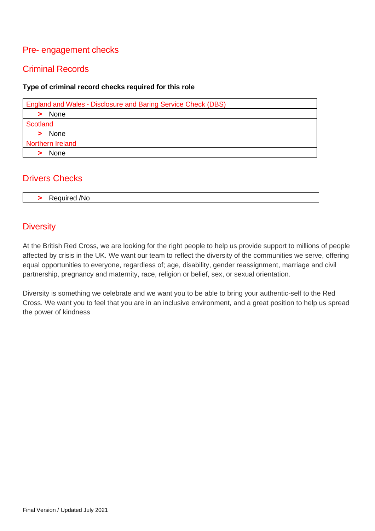# Pre- engagement checks

# Criminal Records

#### **Type of criminal record checks required for this role**

| England and Wales - Disclosure and Baring Service Check (DBS) |
|---------------------------------------------------------------|
| > None                                                        |
| Scotland                                                      |
| > None                                                        |
| Northern Ireland                                              |
| None                                                          |

### Drivers Checks

| $\overline{\phantom{a}}$<br>Required /No |
|------------------------------------------|
|------------------------------------------|

# **Diversity**

At the British Red Cross, we are looking for the right people to help us provide support to millions of people affected by crisis in the UK. We want our team to reflect the diversity of the communities we serve, offering equal opportunities to everyone, regardless of; age, disability, gender reassignment, marriage and civil partnership, pregnancy and maternity, race, religion or belief, sex, or sexual orientation.

Diversity is something we celebrate and we want you to be able to bring your authentic-self to the Red Cross. We want you to feel that you are in an inclusive environment, and a great position to help us spread the power of kindness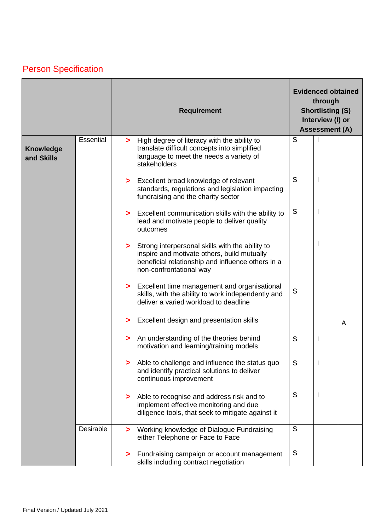# Person Specification

|                                |           | <b>Requirement</b>    |                                                                                                                                                                                  | <b>Evidenced obtained</b><br>through<br><b>Shortlisting (S)</b><br>Interview (I) or<br><b>Assessment (A)</b> |  |   |
|--------------------------------|-----------|-----------------------|----------------------------------------------------------------------------------------------------------------------------------------------------------------------------------|--------------------------------------------------------------------------------------------------------------|--|---|
| <b>Knowledge</b><br>and Skills | Essential | $\blacktriangleright$ | High degree of literacy with the ability to<br>translate difficult concepts into simplified<br>language to meet the needs a variety of<br>stakeholders                           | S                                                                                                            |  |   |
|                                |           |                       | > Excellent broad knowledge of relevant<br>standards, regulations and legislation impacting<br>fundraising and the charity sector                                                | S                                                                                                            |  |   |
|                                |           |                       | > Excellent communication skills with the ability to<br>lead and motivate people to deliver quality<br>outcomes                                                                  | S                                                                                                            |  |   |
|                                |           |                       | > Strong interpersonal skills with the ability to<br>inspire and motivate others, build mutually<br>beneficial relationship and influence others in a<br>non-confrontational way |                                                                                                              |  |   |
|                                |           |                       | > Excellent time management and organisational<br>skills, with the ability to work independently and<br>deliver a varied workload to deadline                                    | S                                                                                                            |  |   |
|                                |           |                       | > Excellent design and presentation skills                                                                                                                                       |                                                                                                              |  | A |
|                                |           |                       | An understanding of the theories behind<br>motivation and learning/training models                                                                                               | S                                                                                                            |  |   |
|                                |           |                       | Able to challenge and influence the status quo<br>and identify practical solutions to deliver<br>continuous improvement                                                          | S                                                                                                            |  |   |
|                                |           | >                     | Able to recognise and address risk and to<br>implement effective monitoring and due<br>diligence tools, that seek to mitigate against it                                         | S                                                                                                            |  |   |
|                                | Desirable |                       | > Working knowledge of Dialogue Fundraising<br>either Telephone or Face to Face                                                                                                  | S                                                                                                            |  |   |
|                                |           |                       | Fundraising campaign or account management<br>skills including contract negotiation                                                                                              | S                                                                                                            |  |   |